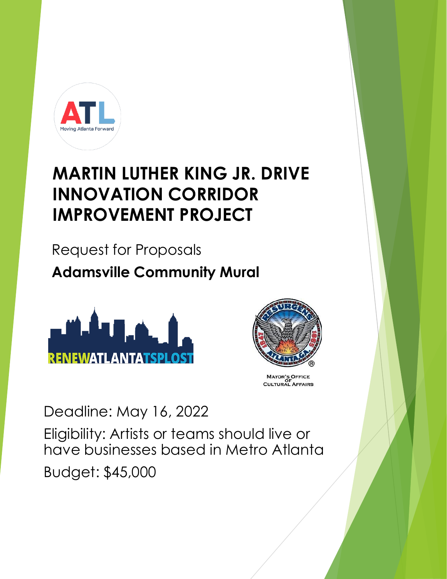

#### **MARTIN LUTHER KING JR. DRIVE INNOVATION CORRIDOR IMPROVEMENT PROJECT**

Request for Proposals **Adamsville Community Mural**





MAYOR'S OFFICE<br>OF<br>CULTURAL AFFAIRS

Deadline: May 16, 2022

Eligibility: Artists or teams should live or have businesses based in Metro Atlanta Budget: \$45,000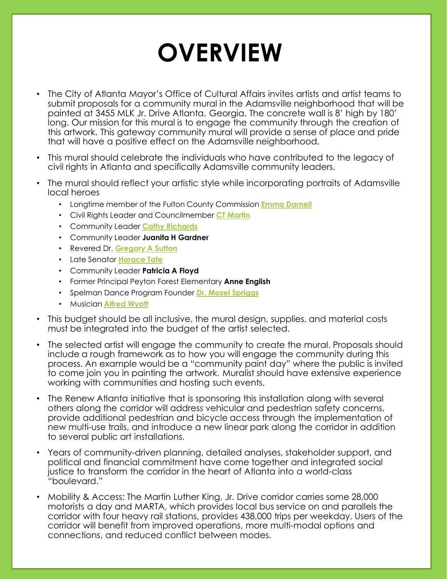# **OVERVIEW**

- The City of Atlanta Mayor's Office of Cultural Affairs invites artists and artist teams to submit proposals for a community mural in the Adamsville neighborhood that will be painted at 3455 MLK Jr. Drive Atlanta, Georgia. The concrete wall is 8' high by 180' long. Our mission for this mural is to engage the community through the creation of this artwork. This gateway community mural will provide a sense of place and pride that will have a positive effect on the Adamsville neighborhood.
- This mural should celebrate the individuals who have contributed to the legacy of civil rights in Atlanta and specifically Adamsville community leaders.
- The mural should reflect your artistic style while incorporating portraits of Adamsville local heroes
	- Longtime member of the Fulton County Commission **[Emma Darnell](https://www.ajc.com/news/local/fulton-commissioner-emma-darnell-dies-after-decades-service/udqNQN91zq6jPepqW5W3kM/)**
	- Civil Rights Leader and Councilmember **[CT Martin](https://www.ajc.com/news/atlanta-news/ct-martin-dean-of-atlanta-city-council-dies-at-84/2IDIQ6BO5NBWDMQQTCVUUT5LJ4/)**
	- Community Leader **[Cathy Richards](https://atlantaprogressivenews.com/2016/02/13/cathy-richards-atlantas-apab-chair-presente/)**
	- Community Leader **Juanita H Gardner**
	- Revered Dr. **[Gregory A Sutton](https://www.jacksonmemorialbaptistchurch.com/about-pastor-gregory-a-sutton)**
	- Late Senator **[Horace Tate](https://en.wikipedia.org/wiki/Horace_Tate)**
	- Community Leader **Patricia A Floyd**
	- Former Principal Peyton Forest Elementary **Anne English**
	- Spelman Dance Program Founder **[Dr. Mozel](https://www.danceusa.org/ejournal/2021/12/17/archiving-fellowships-blog-danceatl-part-1) Spriggs**
	- Musician **[Alfred Wyatt](https://atlinq.com/dr-alfred-wyatt-sr-honored-as-one-of-three-2020-samuel-h-johnson-education-award-recipients/)**
- This budget should be all inclusive, the mural design, supplies, and material costs must be integrated into the budget of the artist selected.
- The selected artist will engage the community to create the mural. Proposals should include a rough framework as to how you will engage the community during this process. An example would be a "community paint day" where the public is invited to come join you in painting the artwork. Muralist should have extensive experience working with communities and hosting such events.
- The Renew Atlanta initiative that is sponsoring this installation along with several others along the corridor will address vehicular and pedestrian safety concerns, provide additional pedestrian and bicycle access through the implementation of new multi-use trails, and introduce a new linear park along the corridor in addition to several public art installations.
- Years of community-driven planning, detailed analyses, stakeholder support, and political and financial commitment have come together and integrated social justice to transform the corridor in the heart of Atlanta into a world-class "boulevard."
- Mobility & Access: The Martin Luther King, Jr. Drive corridor carries some 28,000 motorists a day and MARTA, which provides local bus service on and parallels the corridor with four heavy rail stations, provides 438,000 trips per weekday. Users of the corridor will benefit from improved operations, more multi-modal options and connections, and reduced conflict between modes.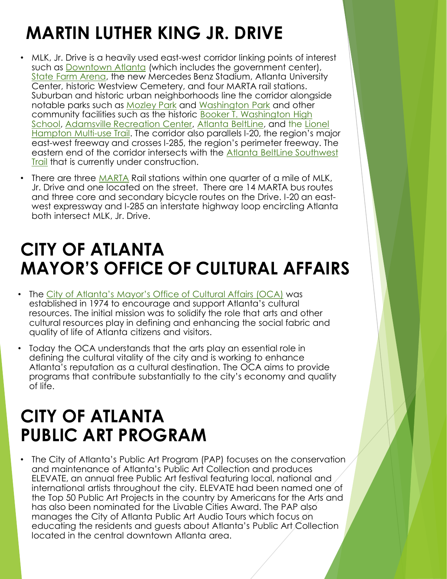# **MARTIN LUTHER KING JR. DRIVE**

- MLK, Jr. Drive is a heavily used east-west corridor linking points of interest such as [Downtown Atlanta](https://en.wikipedia.org/wiki/Downtown_Atlanta) (which includes the government center), [State Farm Arena](https://en.wikipedia.org/wiki/Philips_Arena), the new Mercedes Benz Stadium, Atlanta University Center, historic Westview Cemetery, and four MARTA rail stations. Suburban and historic urban neighborhoods line the corridor alongside notable parks such as [Mozley](https://www.google.com/maps/place/1565+M.L.K.+Jr+Dr+SW,+Atlanta,+GA+30314/@33.7528164,-84.4408031,17z/data=!3m1!4b1!4m5!3m4!1s0x88f51cacd12dc709:0x3bd27d05126e9687!8m2!3d33.7528164!4d-84.4386144?hl=en) Park and [Washington Park](https://www.google.com/maps/place/102+Ollie+St+NW,+Atlanta,+GA+30314/@33.75793,-84.4253137,17z/data=!3m1!4b1!4m5!3m4!1s0x88f50358d0105e9b:0xedd6b1ee0b469ea4!8m2!3d33.75793!4d-84.423125?hl=en) and other community facilities such as the historic Booker T. Washington High [School, Adamsville Recreation Center, Atlanta BeltLine, and the Li](http://www.atlanta.k12.ga.us/Domain/904)[onel](https://pathfoundation.org/trails/westside-and-lionel-hampton-trails/) Hampton Multi-use Trail. The corridor also parallels I-20, the region's major east-west freeway and crosses I-285, the region's perimeter freeway. The [eastern end of the corridor intersects with the Atlanta BeltLine](http://beltline.org/trails/southwest-connector-trail/) Southwest Trail that is currently under construction.
- There are three [MARTA](http://www.itsmarta.com/) Rail stations within one quarter of a mile of MLK, Jr. Drive and one located on the street. There are 14 MARTA bus routes and three core and secondary bicycle routes on the Drive. I-20 an eastwest expressway and I-285 an interstate highway loop encircling Atlanta both intersect MLK, Jr. Drive.

#### **CITY OF ATLANTA MAYOR'S OFFICE OF CULTURAL AFFAIRS**

- The [City of Atlanta's Mayor's Office of Cultural Affairs \(OCA\)](file:///C:/Users/haleycarlson/Downloads/ocaatlanta.com) was established in 1974 to encourage and support Atlanta's cultural resources. The initial mission was to solidify the role that arts and other cultural resources play in defining and enhancing the social fabric and quality of life of Atlanta citizens and visitors.
- Today the OCA understands that the arts play an essential role in defining the cultural vitality of the city and is working to enhance Atlanta's reputation as a cultural destination. The OCA aims to provide programs that contribute substantially to the city's economy and quality of life.

#### **CITY OF ATLANTA PUBLIC ART PROGRAM**

• The City of Atlanta's Public Art Program (PAP) focuses on the conservation and maintenance of Atlanta's Public Art Collection and produces ELEVATE, an annual free Public Art festival featuring local, national and international artists throughout the city. ELEVATE had been named one of the Top 50 Public Art Projects in the country by Americans for the Arts and has also been nominated for the Livable Cities Award. The PAP also manages the City of Atlanta Public Art Audio Tours which focus on educating the residents and guests about Atlanta's Public Art Collection located in the central downtown Atlanta area.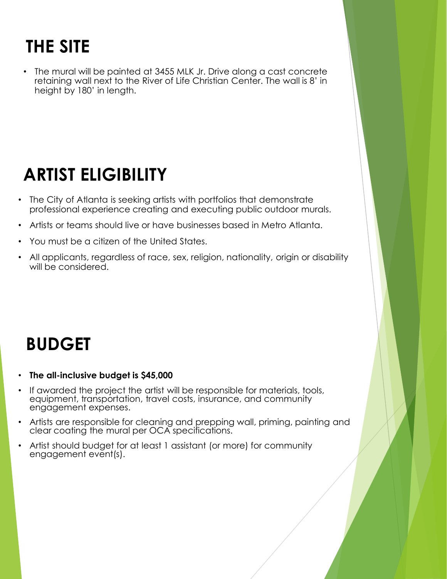# **THE SITE**

• The mural will be painted at 3455 MLK Jr. Drive along a cast concrete retaining wall next to the River of Life Christian Center. The wall is 8' in height by 180' in length.

### **ARTIST ELIGIBILITY**

- The City of Atlanta is seeking artists with portfolios that demonstrate professional experience creating and executing public outdoor murals.
- Artists or teams should live or have businesses based in Metro Atlanta.
- You must be a citizen of the United States.
- All applicants, regardless of race, sex, religion, nationality, origin or disability will be considered.

# **BUDGET**

- **The all-inclusive budget is \$45,000**
- If awarded the project the artist will be responsible for materials, tools, equipment, transportation, travel costs, insurance, and community engagement expenses.
- Artists are responsible for cleaning and prepping wall, priming, painting and clear coating the mural per OCA specifications.
- Artist should budget for at least 1 assistant (or more) for community engagement event(s).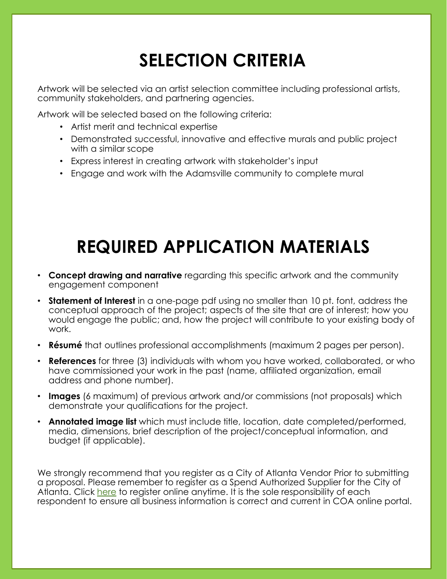# **SELECTION CRITERIA**

Artwork will be selected via an artist selection committee including professional artists, community stakeholders, and partnering agencies.

Artwork will be selected based on the following criteria:

- Artist merit and technical expertise
- Demonstrated successful, innovative and effective murals and public project with a similar scope
- Express interest in creating artwork with stakeholder's input
- Engage and work with the Adamsville community to complete mural

# **REQUIRED APPLICATION MATERIALS**

- **Concept drawing and narrative** regarding this specific artwork and the community engagement component
- **Statement of Interest** in a one-page pdf using no smaller than 10 pt. font, address the conceptual approach of the project; aspects of the site that are of interest; how you would engage the public; and, how the project will contribute to your existing body of work.
- **Résumé** that outlines professional accomplishments (maximum 2 pages per person).
- **References** for three (3) individuals with whom you have worked, collaborated, or who have commissioned your work in the past (name, affiliated organization, email address and phone number).
- **Images** (6 maximum) of previous artwork and/or commissions (not proposals) which demonstrate your qualifications for the project.
- **Annotated image list** which must include title, location, date completed/performed, media, dimensions, brief description of the project/conceptual information, and budget (if applicable).

We strongly recommend that you register as a City of Atlanta Vendor Prior to submitting a proposal. Please remember to register as a Spend Authorized Supplier for the City of Atlanta. Click [here](https://ehxr.fa.us2.oraclecloud.com/fscmUI/faces/PrcPosRegisterSupplier?prcBuId=300000001273072&busRel=hmrbeaAaKx48%2BQ6BevjJfM88%2ByMjPJ226Q%3D%3D) to register online anytime. It is the sole responsibility of each respondent to ensure all business information is correct and current in COA online portal.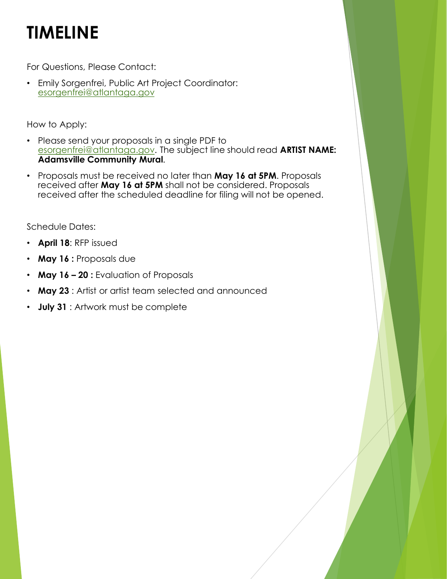# **TIMELINE**

For Questions, Please Contact:

• Emily Sorgenfrei, Public Art Project Coordinator: [esorgenfrei@atlantaga.gov](mailto:esorgenfrei@atlantaga.gov)

How to Apply:

- Please send your proposals in a single PDF to [esorgenfrei@atlantaga.gov.](mailto:esorgenfrei@atlantaga.gov) The subject line should read **ARTIST NAME: Adamsville Community Mural**.
- Proposals must be received no later than **May 16 at 5PM**. Proposals received after **May 16 at 5PM** shall not be considered. Proposals received after the scheduled deadline for filing will not be opened.

Schedule Dates:

- **April 18**: RFP issued
- **May 16 :** Proposals due
- **May 16 – 20 :** Evaluation of Proposals
- **May 23** : Artist or artist team selected and announced
- **July 31** : Artwork must be complete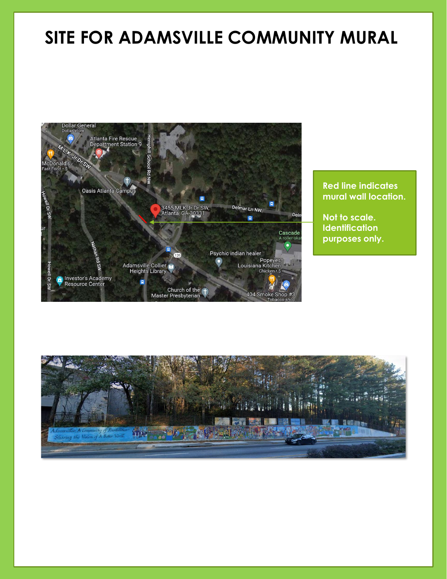#### **SITE FOR ADAMSVILLE COMMUNITY MURAL**



#### **Red line indicates mural wall location.**

**Not to scale. Identification purposes only.**

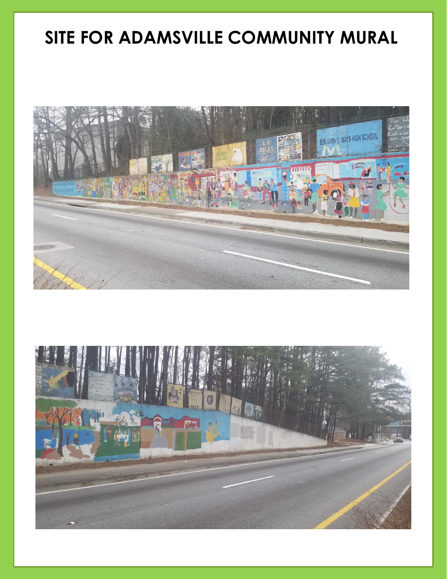#### **SITE FOR ADAMSVILLE COMMUNITY MURAL**